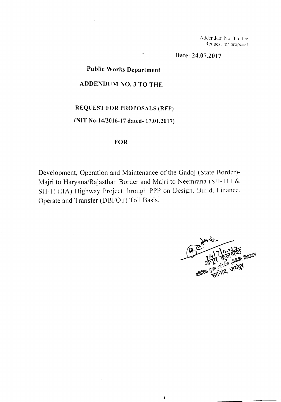Addendum No. 3 to the Request for proposal

**Date: 24.07.2017**

### **Public Works Department**

#### **ADDENDUM NO.3 TO THE**

## **REQUEST FOR PROPOSALS (RFP)**

#### **(NIT No-14/2016-17 dated- 17.01.2017)**

#### **FOR**

Development, Operation and Maintenance of the Gadoj (State Border)- Majri to Haryana/Rajasthan Border and Majri to Neemrana (SH-l 11 & SH-ll lIlA) Highway Project through PPP on Design. Build. Finance. Operate and Transfer (DBFOT) Toll Basis.

 $\blacktriangle$